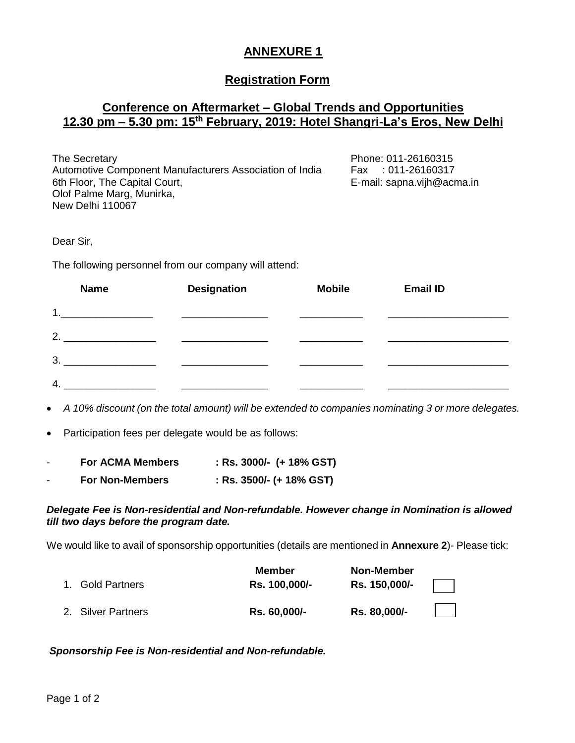## **ANNEXURE 1**

## **Registration Form**

## **Conference on Aftermarket – Global Trends and Opportunities 12.30 pm – 5.30 pm: 15th February, 2019: Hotel Shangri-La's Eros, New Delhi**

| The Secretary                                           | Phone: 011-26160315        |
|---------------------------------------------------------|----------------------------|
| Automotive Component Manufacturers Association of India | Fax: 011-26160317          |
| 6th Floor, The Capital Court,                           | E-mail: sapna.vijh@acma.in |
| Olof Palme Marg, Munirka,                               |                            |
| New Delhi 110067                                        |                            |

Dear Sir,

The following personnel from our company will attend:

| <b>Name</b> | <b>Designation</b> | <b>Mobile</b> | <b>Email ID</b> |
|-------------|--------------------|---------------|-----------------|
| 1           |                    |               |                 |
| っ           |                    |               |                 |
| 3.          |                    |               |                 |
|             |                    |               |                 |

*A 10% discount (on the total amount) will be extended to companies nominating 3 or more delegates.*

Participation fees per delegate would be as follows:

|  | <b>For ACMA Members</b> |  | : Rs. 3000/- $(+ 18\%$ GST) |
|--|-------------------------|--|-----------------------------|
|--|-------------------------|--|-----------------------------|

- **For Non-Members : Rs. 3500/- (+ 18% GST)**

## *Delegate Fee is Non-residential and Non-refundable. However change in Nomination is allowed till two days before the program date.*

We would like to avail of sponsorship opportunities (details are mentioned in **Annexure 2**)- Please tick:

| 1. Gold Partners   | <b>Member</b><br>Rs. 100,000/- | <b>Non-Member</b><br>Rs. 150,000/- |  |
|--------------------|--------------------------------|------------------------------------|--|
| 2. Silver Partners | Rs. 60,000/-                   | Rs. 80,000/-                       |  |

*Sponsorship Fee is Non-residential and Non-refundable.*